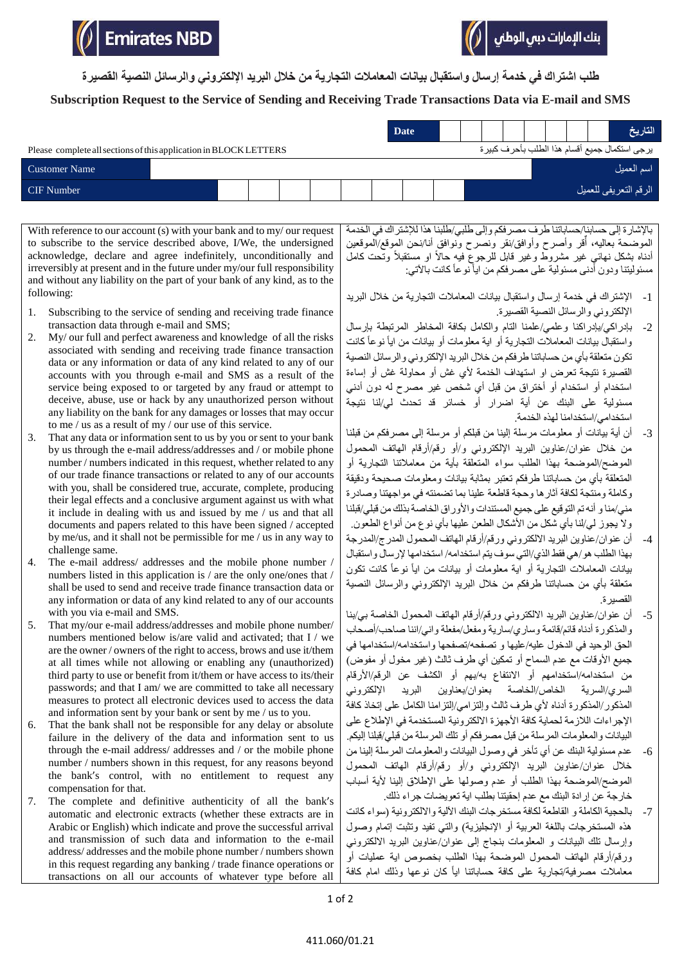**طلب اشتراك في خدمة إرسال واستقبال بيانات المعامالت التجارية من خالل البريد اإللكتروني والرسائل النصية القصيرة**

## **Subscription Request to the Service of Sending and Receiving Trade Transactions Data via E-mail and SMS**

|                                                                   |  |  |  | <b>Date</b> |  |  |  | التاريخ                                       |
|-------------------------------------------------------------------|--|--|--|-------------|--|--|--|-----------------------------------------------|
| Please complete all sections of this application in BLOCK LETTERS |  |  |  |             |  |  |  | يرجى استكمال جميع أقسام هذا الطلب بأحرف كبيرة |
| <b>Customer Name</b>                                              |  |  |  |             |  |  |  | اسم العميل                                    |
| <b>CIF</b> Number                                                 |  |  |  |             |  |  |  | الرقم التعريفي للعميل                         |

With reference to our account (s) with your bank and to my/ our request to subscribe to the service described above, I/We, the undersigned acknowledge, declare and agree indefinitely, unconditionally and irreversibly at present and in the future under my/our full responsibility and without any liability on the part of your bank of any kind, as to the following:

- 1. Subscribing to the service of sending and receiving trade finance transaction data through e-mail and SMS;
- 2. My/ our full and perfect awareness and knowledge of all the risks associated with sending and receiving trade finance transaction data or any information or data of any kind related to any of our accounts with you through e-mail and SMS as a result of the service being exposed to or targeted by any fraud or attempt to deceive, abuse, use or hack by any unauthorized person without any liability on the bank for any damages or losses that may occur to me / us as a result of my / our use of this service.
- 3. That any data or information sent to us by you or sent to your bank by us through the e-mail address/addresses and / or mobile phone number / numbers indicated in this request, whether related to any of our trade finance transactions or related to any of our accounts with you, shall be considered true, accurate, complete, producing their legal effects and a conclusive argument against us with what it include in dealing with us and issued by me / us and that all documents and papers related to this have been signed / accepted by me/us, and it shall not be permissible for me / us in any way to challenge same.
- 4. The e-mail address/ addresses and the mobile phone number / numbers listed in this application is / are the only one/ones that / shall be used to send and receive trade finance transaction data or any information or data of any kind related to any of our accounts with you via e-mail and SMS.
- 5. That my/our e-mail address/addresses and mobile phone number/ numbers mentioned below is/are valid and activated; that I / we are the owner / owners of the right to access, brows and use it/them at all times while not allowing or enabling any (unauthorized) third party to use or benefit from it/them or have access to its/their passwords; and that I am/ we are committed to take all necessary measures to protect all electronic devices used to access the data and information sent by your bank or sent by me / us to you.
- 6. That the bank shall not be responsible for any delay or absolute failure in the delivery of the data and information sent to us through the e-mail address/ addresses and / or the mobile phone number / numbers shown in this request, for any reasons beyond the bank's control, with no entitlement to request any compensation for that.
- 7. The complete and definitive authenticity of all the bank's automatic and electronic extracts (whether these extracts are in Arabic or English) which indicate and prove the successful arrival and transmission of such data and information to the e-mail address/ addresses and the mobile phone number / numbers shown in this request regarding any banking / trade finance operations or transactions on all our accounts of whatever type before all

باإلشارة إلى حسابنا/حساباتنا طرف مصرفكم وإلى طلبي/طلبنا هذا لإلشتراك في الخدمة الموضحة بعاليه، أُقر وأصرح وأوافق/نقر ونصرح ونوافق أنا/نحن الموقع/الموقعين أدناه بشكل نـهائـي غير مشروط وغير قابل للرجوع فيه حالأ او مستقبلأ وتحت كـامل مسئوليتنا ودون أدنى مسئولية على مصرفكم من ايأ نوعأ كانت بالآتي:

بنك الإمارات دبي الوطني

- -1 اإلشتراك في خدمة إرسال واستقبال بيانات المعامالت التجارية من خالل البريد اإللكتروني والرسائل النصية القصيرة.
- -2 بإدراكي/بإدراكنا وعلمي/علمنا التام والكامل بكافة المخاطر المرتبطة بإرسال واستقبال بيانات المعاملات التجارية أو اية معلومات أو بيانات من ايأ نوعاً كانت تكون متعلقة بأي من حساباتنا طرفكم من خالل البريد اإللكتروني والرسائل النصية القصيرة نتيجة تعرض او استهداف الخدمة لأي غش أو محاولة غش أو إساءة استخدام أو استخدام أو أختراق من قبل أي شخص غير مصرح له دون أدني مسئولية على البنك عن أية اضرار أو خسائر قد تحدث لي/لنا نتيجة استخدامي/استخدامنا لهذه الخدمة.
- -3 أن أية بيانات أو معلومات مرسلة إلينا من قبلكم أو مرسلة إلى مصرفكم من قبلنا من خالل عنوان/عناوين البريد اإللكتروني و/أو رقم/أرقام الهاتف المحمول الموضح/الموضحة بهذا الطلب سواء المتعلقة بأية من معامالتنا التجارية أو المتعلقة بأي من حساباتنا طرفكم تعتبر بمثابة بيانات ومعلومات صحيحة ودقيقة وكاملة ومنتجة لكافة آثارها وحجة قاطعة علينا بما تضمنته في مواجهتنا وصادرة مني/منا و أنه تم التوقيع على جميع المستندات واألوراق الخاصة بذلك من قبلي/قبلنا ولا يجوز لي/لنا بأي شكل من الأشكال الطعن عليها بأي نوع من أنواع الطعون.
- -4 أن عنوان/عناوين البريد االلكتروني ورقم/أرقام الهاتف المحمول المدرج/المدرجة بهذا الطلب هو/هي فقط الذي/التي سوف يتم استخدامه/ استخدامها إلرسال واستقبال بيانات المعاملات التجارية أو اية معلومات أو بيانات من ايأ نوعاً كانت تكون متعلقة بأي من حساباتنا طرفكم من خالل البريد اإللكتروني والرسائل النصية القصيرة.
- 5- أن عنوان/عناوين البريد الالكتروني ورقم/أرقام الهاتف المحمول الخاصة بي/بنا والمذكورة أدناه قائم/قائمة وساري/سارية ومفعل/مفعلة واني/اننا صاحب/أصحاب الحق الوحيد في الدخول عليه/عليها و تصفحه/تصفحها واستخدامه/استخدامها في جميع الأوقات مع عدم السماح أو تمكين أي طرف ثالث (غير مخول أو مفوض) من استخدامه/استخدامهم أو االنتفاع به/بهم أو الكشف عن الرقم/األرقام السري/السرية الخاص/الخاصة بعنوان/بعناوين البريد اإللكتروني المذكور/المذكورة أدناه ألي طرف ثالث وإلتزامي/إلتزامنا الكامل على إتخاذ كافة اإلجراءات الالزمة لحماية كافة األجهزة االلكترونية المستخدمة في اإلطالع على البيانات والمعلومات المرسلة من قبل مصرفكم أو تلك المرسلة من قبلي/قبلنا إليكم.
- -6 عدم مسئولية البنك عن أي تأخر في وصول البيانات والمعلومات المرسلة إلينا من خالل عنوان/عناوين البريد اإللكتروني و/أو رقم/أرقام الهاتف المحمول الموضح/الموضحة بهذا الطلب أو عدم وصولها على اإلطالق إلينا ألية أسباب خارجة عن إرادة البنك مع عدم إحقيتنا بطلب اية تعويضات جراء ذلك.
- 7- بالحجية الكاملة و القاطعة لكافة مستخر جات البنك الآلية و الالكتر و نية (سواء كانت هذه المستخرجات باللغة العربية أو الإنجليزية) والتي تفيد وتثبت إتمام وصول وإرسال تلك البيانات و المعلومات بنجاج إلى عنوان/عناوين البريد االلكتروني ورقم/أرقام الهاتف المحمول الموضحة بهذا الطلب بخصوص اية عمليات أو معامالت مصرفية/تجارية على كافة حساباتنا اياً كان نوعها وذلك امام كافة